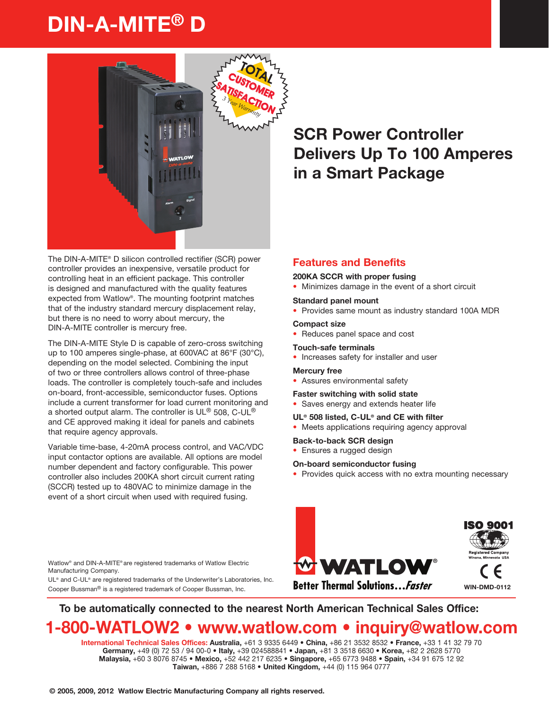# DIN-A-MITE® D



The DIN-A-MITE® D silicon controlled rectifier (SCR) power controller provides an inexpensive, versatile product for controlling heat in an efficient package. This controller is designed and manufactured with the quality features expected from Watlow®. The mounting footprint matches that of the industry standard mercury displacement relay, but there is no need to worry about mercury, the DIN-A-MITE controller is mercury free.

The DIN-A-MITE Style D is capable of zero-cross switching up to 100 amperes single-phase, at 600VAC at 86°F (30°C), depending on the model selected. Combining the input of two or three controllers allows control of three-phase loads. The controller is completely touch-safe and includes on-board, front-accessible, semiconductor fuses. Options include a current transformer for load current monitoring and a shorted output alarm. The controller is  $UL^@$  508, C-UL® and CE approved making it ideal for panels and cabinets that require agency approvals.

Variable time-base, 4-20mA process control, and VAC/VDC input contactor options are available. All options are model number dependent and factory configurable. This power controller also includes 200KA short circuit current rating (SCCR) tested up to 480VAC to minimize damage in the event of a short circuit when used with required fusing.

Watlow® and DIN-A-MITE® are registered trademarks of Watlow Electric Manufacturing Company.

UL® and C-UL® are registered trademarks of the Underwriter's Laboratories, Inc. Cooper Bussman® is a registered trademark of Cooper Bussman, Inc.

## **SCR Power Controller Delivers Up To 100 Amperes in a Smart Package**

### **Features and Benefits**

#### **200KA SCCR with proper fusing**

• Minimizes damage in the event of a short circuit

#### **Standard panel mount**

• Provides same mount as industry standard 100A MDR

#### **Compact size**

• Reduces panel space and cost

#### **Touch-safe terminals**

• Increases safety for installer and user

#### **Mercury free**

• Assures environmental safety

#### **Faster switching with solid state**

• Saves energy and extends heater life

#### **UL® 508 listed, C-UL® and CE with filter**

- Meets applications requiring agency approval
- **Back-to-back SCR design**
- Ensures a rugged design

#### **On-board semiconductor fusing**

• Provides quick access with no extra mounting necessary



To be automatically connected to the nearest North American Technical Sales Office:

## 1-800-WATLOW2 • www.watlow.com • inquiry@watlow.com

International Technical Sales Offices: Australia, +61 3 9335 6449 • China, +86 21 3532 8532 • France, +33 1 41 32 79 70 Germany, +49 (0) 72 53 / 94 00-0 • Italy, +39 024588841 • Japan, +81 3 3518 6630 • Korea, +82 2 2628 5770 Malaysia, +60 3 8076 8745 • Mexico, +52 442 217 6235 • Singapore, +65 6773 9488 • Spain, +34 91 675 12 92 Taiwan, +886 7 288 5168 • United Kingdom, +44 (0) 115 964 0777